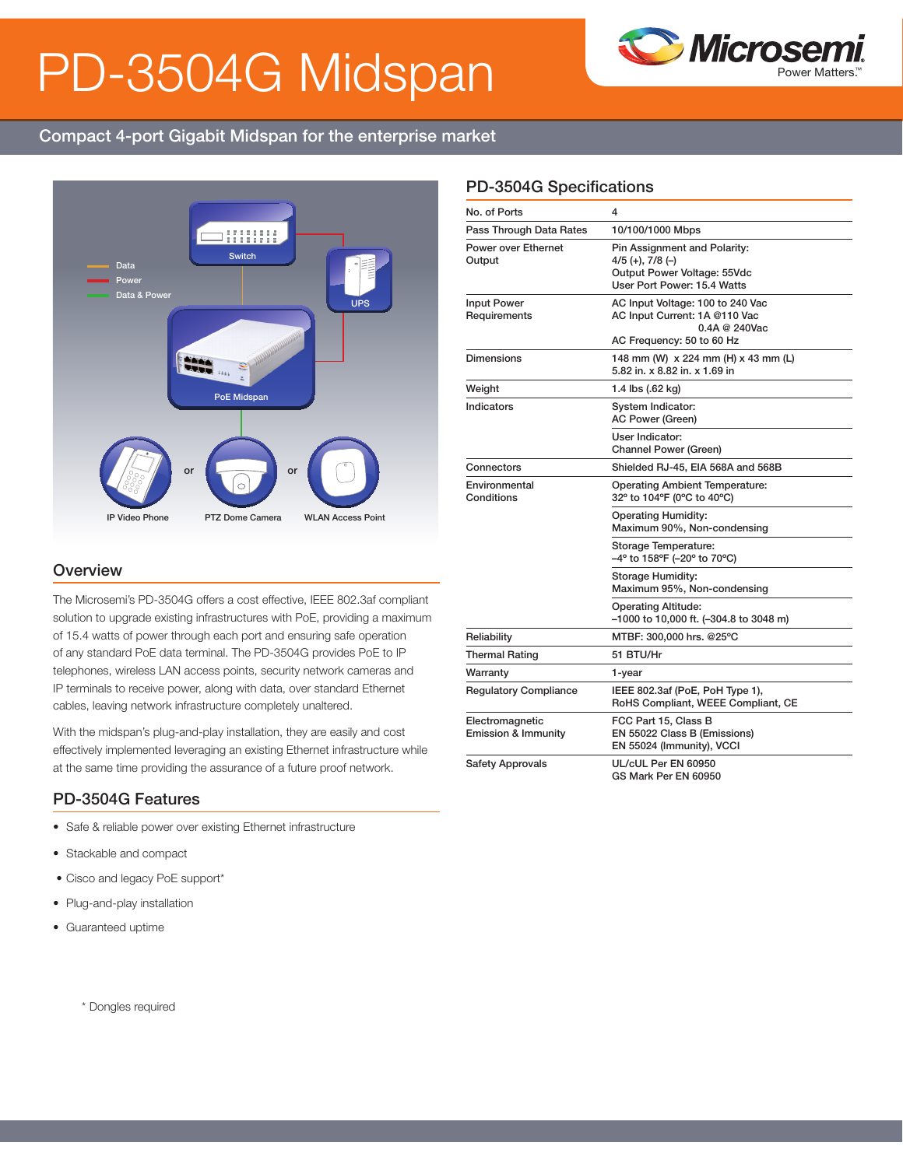# PD-3504G Midspan



# Compact 4-port Gigabit Midspan for the enterprise market



#### **Overview**

The Microsemi's PD-3504G offers a cost effective, IEEE 802.3af compliant solution to upgrade existing infrastructures with PoE, providing a maximum of 15.4 watts of power through each port and ensuring safe operation of any standard PoE data terminal. The PD-3504G provides PoE to IP telephones, wireless LAN access points, security network cameras and IP terminals to receive power, along with data, over standard Ethernet cables, leaving network infrastructure completely unaltered.

With the midspan's plug-and-play installation, they are easily and cost effectively implemented leveraging an existing Ethernet infrastructure while at the same time providing the assurance of a future proof network.

### PD-3504G Features

- Safe & reliable power over existing Ethernet infrastructure
- Stackable and compact
- Cisco and legacy PoE support\*
- Plug-and-play installation
- Guaranteed uptime

## PD-3504G Specifications

| No. of Ports                                      | 4                                                                                                                      |  |
|---------------------------------------------------|------------------------------------------------------------------------------------------------------------------------|--|
| Pass Through Data Rates                           | 10/100/1000 Mbps                                                                                                       |  |
| Power over Ethernet<br>Output                     | Pin Assignment and Polarity:<br>$4/5$ (+), $7/8$ (-)<br>Output Power Voltage: 55Vdc<br>User Port Power: 15.4 Watts     |  |
| <b>Input Power</b><br>Requirements                | AC Input Voltage: 100 to 240 Vac<br>AC Input Current: 1A @110 Vac<br>$0.4A \ @ \ 240$ Vac<br>AC Frequency: 50 to 60 Hz |  |
| <b>Dimensions</b>                                 | 148 mm (W) x 224 mm (H) x 43 mm (L)<br>5.82 in. x 8.82 in. x 1.69 in                                                   |  |
| Weight                                            | 1.4 lbs (.62 kg)                                                                                                       |  |
| Indicators                                        | System Indicator:<br><b>AC Power (Green)</b>                                                                           |  |
|                                                   | User Indicator:<br><b>Channel Power (Green)</b>                                                                        |  |
| Connectors                                        | Shielded RJ-45, EIA 568A and 568B                                                                                      |  |
| Environmental<br>Conditions                       | <b>Operating Ambient Temperature:</b><br>32° to 104°F (0°C to 40°C)                                                    |  |
|                                                   | <b>Operating Humidity:</b><br>Maximum 90%, Non-condensing                                                              |  |
|                                                   | Storage Temperature:<br>-4° to 158°F (-20° to 70°C)                                                                    |  |
|                                                   | Storage Humidity:<br>Maximum 95%, Non-condensing                                                                       |  |
|                                                   | <b>Operating Altitude:</b><br>–1000 to 10,000 ft. (–304.8 to 3048 m)                                                   |  |
| Reliability                                       | MTBF: 300,000 hrs. @25°C                                                                                               |  |
| <b>Thermal Rating</b>                             | 51 BTU/Hr                                                                                                              |  |
| Warranty                                          | 1-year                                                                                                                 |  |
| <b>Regulatory Compliance</b>                      | IEEE 802.3af (PoE, PoH Type 1),<br>RoHS Compliant, WEEE Compliant, CE                                                  |  |
| Electromagnetic<br><b>Emission &amp; Immunity</b> | FCC Part 15, Class B<br>EN 55022 Class B (Emissions)<br>EN 55024 (Immunity), VCCI                                      |  |
| <b>Safety Approvals</b>                           | UL/cUL Per EN 60950<br>GS Mark Per EN 60950                                                                            |  |

\* Dongles required